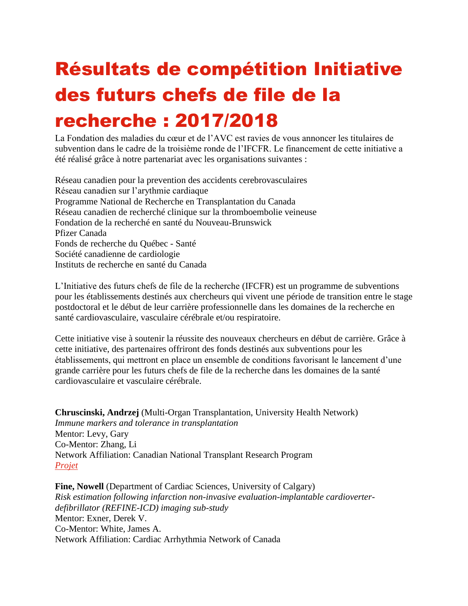## Résultats de compétition Initiative des futurs chefs de file de la recherche : 2017/2018

La Fondation des maladies du cœur et de l'AVC est ravies de vous annoncer les titulaires de subvention dans le cadre de la troisième ronde de l'IFCFR. Le financement de cette initiative a été réalisé grâce à notre partenariat avec les organisations suivantes :

Réseau canadien pour la prevention des accidents cerebrovasculaires Réseau canadien sur l'arythmie cardiaque Programme National de Recherche en Transplantation du Canada Réseau canadien de recherché clinique sur la thromboembolie veineuse Fondation de la recherché en santé du Nouveau-Brunswick Pfizer Canada Fonds de recherche du Québec - Santé Société canadienne de cardiologie Instituts de recherche en santé du Canada

L'Initiative des futurs chefs de file de la recherche (IFCFR) est un programme de subventions pour les établissements destinés aux chercheurs qui vivent une période de transition entre le stage postdoctoral et le début de leur carrière professionnelle dans les domaines de la recherche en santé cardiovasculaire, vasculaire cérébrale et/ou respiratoire.

Cette initiative vise à soutenir la réussite des nouveaux chercheurs en début de carrière. Grâce à cette initiative, des partenaires offriront des fonds destinés aux subventions pour les établissements, qui mettront en place un ensemble de conditions favorisant le lancement d'une grande carrière pour les futurs chefs de file de la recherche dans les domaines de la santé cardiovasculaire et vasculaire cérébrale.

**Chruscinski, Andrzej** (Multi-Organ Transplantation, University Health Network) *Immune markers and tolerance in transplantation* Mentor: Levy, Gary Co-Mentor: Zhang, Li Network Affiliation: Canadian National Transplant Research Program *[Projet](http://hsf.ca/research/sites/default/files/Chruscinski%2C%20A%20-%20ERLI%20Lay%20Summary.pdf)*

**Fine, Nowell** (Department of Cardiac Sciences, University of Calgary) *Risk estimation following infarction non-invasive evaluation-implantable cardioverterdefibrillator (REFINE-ICD) imaging sub-study* Mentor: Exner, Derek V. Co-Mentor: White, James A. Network Affiliation: Cardiac Arrhythmia Network of Canada